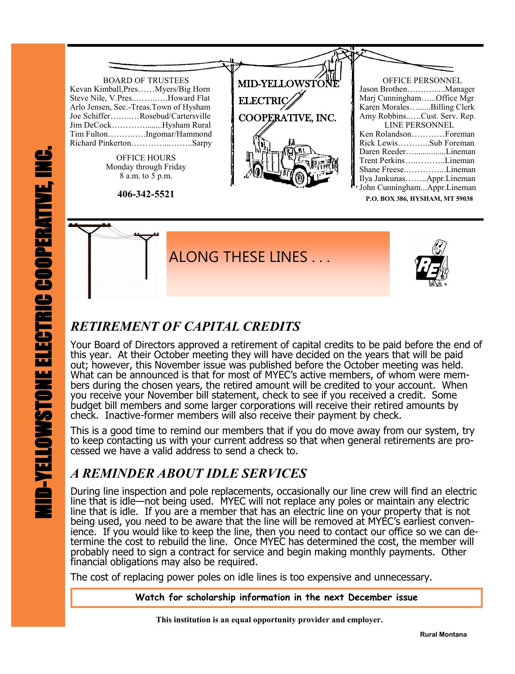

**P.O. BOX 386, HYSHAM, MT 59038**



# *RETIREMENT OF CAPITAL CREDITS*

Your Board of Directors approved a retirement of capital credits to be paid before the end of this year. At their October meeting they will have decided on the years that will be paid out; however, this November issue was published before the October meeting was held. What can be announced is that for most of MYEC's active members, of whom were members during the chosen years, the retired amount will be credited to your account. When you receive your November bill statement, check to see if you received a credit. Some budget bill members and some larger corporations will receive their retired amounts by check. Inactive-former members will also receive their payment by check.

This is a good time to remind our members that if you do move away from our system, try to keep contacting us with your current address so that when general retirements are processed we have a valid address to send a check to.

# *A REMINDER ABOUT IDLE SERVICES*

During line inspection and pole replacements, occasionally our line crew will find an electric line that is idle—not being used. MYEC will not replace any poles or maintain any electric line that is idle. If you are a member that has an electric line on your property that is not being used, you need to be aware that the line will be removed at MYEC's earliest convenience. If you would like to keep the line, then you need to contact our office so we can determine the cost to rebuild the line. Once MYEC has determined the cost, the member will probably need to sign a contract for service and begin making monthly payments. Other financial obligations may also be required.

The cost of replacing power poles on idle lines is too expensive and unnecessary.

**Watch for scholarship information in the next December issue** 

 **This institution is an equal opportunity provider and employer.**